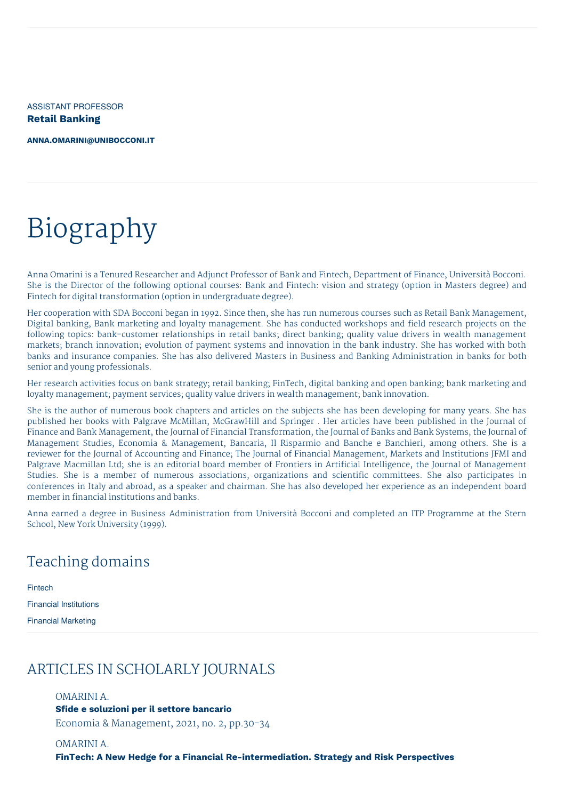ASSISTANT PROFESSOR **Retail Banking**

**[ANNA.OMARINI@UNIBOCCONI.IT](mailto:anna.omarini@unibocconi.it)**

# Biography

Anna Omarini is a Tenured Researcher and Adjunct Professor of Bank and Fintech, Department of Finance, Università Bocconi. She is the Director of the following optional courses: Bank and Fintech: vision and strategy (option in Masters degree) and Fintech for digital transformation (option in undergraduate degree).

Her cooperation with SDA Bocconi began in 1992. Since then, she has run numerous courses such as Retail Bank Management, Digital banking, Bank marketing and loyalty management. She has conducted workshops and field research projects on the following topics: bank-customer relationships in retail banks; direct banking; quality value drivers in wealth management markets; branch innovation; evolution of payment systems and innovation in the bank industry. She has worked with both banks and insurance companies. She has also delivered Masters in Business and Banking Administration in banks for both senior and young professionals.

Her research activities focus on bank strategy; retail banking; FinTech, digital banking and open banking; bank marketing and loyalty management; payment services; quality value drivers in wealth management; bank innovation.

She is the author of numerous book chapters and articles on the subjects she has been developing for many years. She has published her books with Palgrave McMillan, McGrawHill and Springer . Her articles have been published in the Journal of Finance and Bank Management, the Journal of Financial Transformation, the Journal of Banks and Bank Systems, the Journal of Management Studies, Economia & Management, Bancaria, Il Risparmio and Banche e Banchieri, among others. She is a reviewer for the Journal of Accounting and Finance; The Journal of Financial Management, Markets and Institutions JFMI and Palgrave Macmillan Ltd; she is an editorial board member of Frontiers in Artificial Intelligence, the Journal of Management Studies. She is a member of numerous associations, organizations and scientific committees. She also participates in conferences in Italy and abroad, as a speaker and chairman. She has also developed her experience as an independent board member in financial institutions and banks.

Anna earned a degree in Business Administration from Università Bocconi and completed an ITP Programme at the Stern School, New York University (1999).

# Teaching domains

Fintech

Financial Institutions

Financial Marketing

## ARTICLES IN SCHOLARLY JOURNALS

#### OMARINI A.

**Sfide e soluzioni per il settore bancario** Economia & Management, 2021, no. 2, pp.30-34

OMARINI A. **FinTech: A New Hedge for a Financial Re-intermediation. Strategy and Risk Perspectives**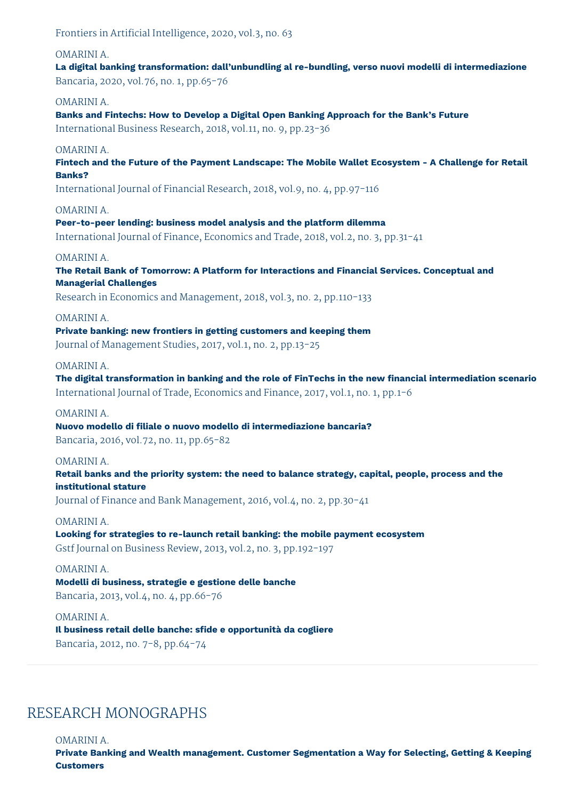Frontiers in Artificial Intelligence, 2020, vol.3, no. 63

OMARINI A. **La digital banking transformation: dall'unbundling al re-bundling, verso nuovi modelli di intermediazione** Bancaria, 2020, vol.76, no. 1, pp.65-76 OMARINI A. **Banks and Fintechs: How to Develop a Digital Open Banking Approach for the Bank's Future** International Business Research, 2018, vol.11, no. 9, pp.23-36 OMARINI A. **Fintech and the Future of the Payment Landscape: The Mobile Wallet Ecosystem - A Challenge for Retail Banks?** International Journal of Financial Research, 2018, vol.9, no. 4, pp.97-116 OMARINI A. **Peer-to-peer lending: business model analysis and the platform dilemma** International Journal of Finance, Economics and Trade, 2018, vol.2, no. 3, pp.31-41 OMARINI A. **The Retail Bank of Tomorrow: A Platform for Interactions and Financial Services. Conceptual and Managerial Challenges** Research in Economics and Management, 2018, vol.3, no. 2, pp.110-133 OMARINI A. **Private banking: new frontiers in getting customers and keeping them** Journal of Management Studies, 2017, vol.1, no. 2, pp.13-25 OMARINI A. **The digital transformation in banking and the role of FinTechs in the new financial intermediation scenario** International Journal of Trade, Economics and Finance, 2017, vol.1, no. 1, pp.1-6 OMARINI A. **Nuovo modello di filiale o nuovo modello di intermediazione bancaria?** Bancaria, 2016, vol.72, no. 11, pp.65-82 OMARINI A. **Retail banks and the priority system: the need to balance strategy, capital, people, process and the institutional stature** Journal of Finance and Bank Management, 2016, vol.4, no. 2, pp.30-41 OMARINI A. **Looking for strategies to re-launch retail banking: the mobile payment ecosystem** Gstf Journal on Business Review, 2013, vol.2, no. 3, pp.192-197 OMARINI A. **Modelli di business, strategie e gestione delle banche**

Bancaria, 2013, vol.4, no. 4, pp.66-76

OMARINI A. **Il business retail delle banche: sfide e opportunità da cogliere** Bancaria, 2012, no. 7-8, pp.64-74

## RESEARCH MONOGRAPHS

OMARINI A.

**Private Banking and Wealth management. Customer Segmentation a Way for Selecting, Getting & Keeping Customers**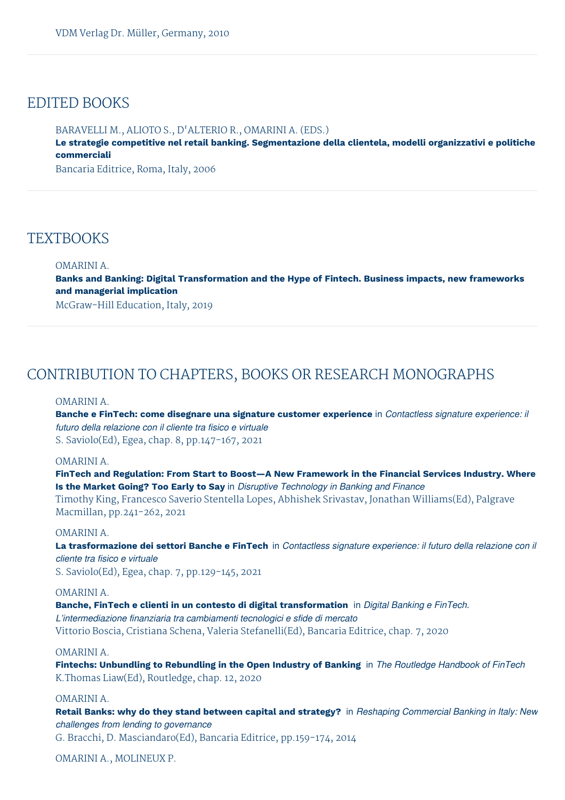## EDITED BOOKS

BARAVELLI M., ALIOTO S., D'ALTERIO R., OMARINI A. (EDS.) **Le strategie competitive nel retail banking. Segmentazione della clientela, modelli organizzativi e politiche commerciali**

Bancaria Editrice, Roma, Italy, 2006

## **TEXTBOOKS**

#### OMARINI A.

**Banks and Banking: Digital Transformation and the Hype of Fintech. Business impacts, new frameworks and managerial implication**

McGraw-Hill Education, Italy, 2019

## CONTRIBUTION TO CHAPTERS, BOOKS OR RESEARCH MONOGRAPHS

#### OMARINI A.

**Banche e FinTech: come disegnare una signature customer experience** in *Contactless signature experience: il futuro della relazione con il cliente tra fisico e virtuale* S. Saviolo(Ed), Egea, chap. 8, pp.147-167, 2021

#### OMARINI A.

**FinTech and Regulation: From Start to Boost—A New Framework in the Financial Services Industry. Where Is the Market Going? Too Early to Say** in *Disruptive Technology in Banking and Finance*

Timothy King, Francesco Saverio Stentella Lopes, Abhishek Srivastav, Jonathan Williams(Ed), Palgrave Macmillan, pp.241-262, 2021

#### OMARINI A.

La trasformazione dei settori Banche e FinTech in Contactless signature experience: il futuro della relazione con il *cliente tra fisico e virtuale* S. Saviolo(Ed), Egea, chap. 7, pp.129-145, 2021

## OMARINI A.

**Banche, FinTech e clienti in un contesto di digital transformation** in *Digital Banking e FinTech. L'intermediazione finanziaria tra cambiamenti tecnologici e sfide di mercato* Vittorio Boscia, Cristiana Schena, Valeria Stefanelli(Ed), Bancaria Editrice, chap. 7, 2020

#### OMARINI A.

**Fintechs: Unbundling to Rebundling in the Open Industry of Banking** in *The Routledge Handbook of FinTech* K.Thomas Liaw(Ed), Routledge, chap. 12, 2020

#### OMARINI A.

**Retail Banks: why do they stand between capital and strategy?** in *Reshaping Commercial Banking in Italy: New challenges from lending to governance* G. Bracchi, D. Masciandaro(Ed), Bancaria Editrice, pp.159-174, 2014

OMARINI A., MOLINEUX P.